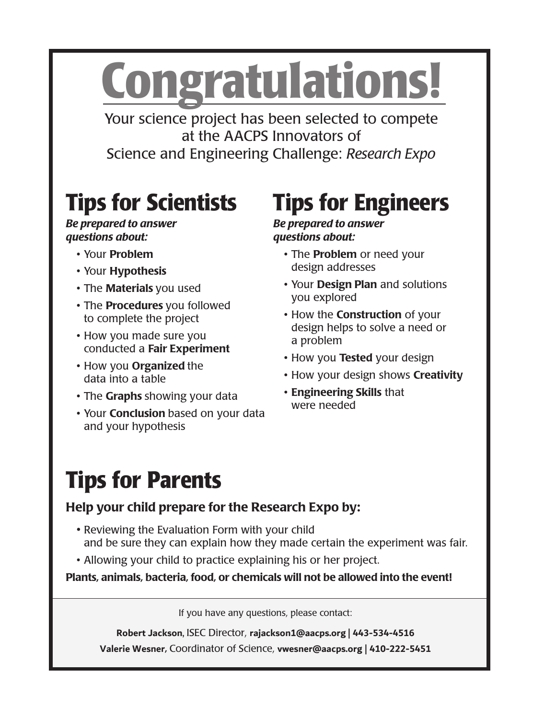# **Congratulations!**

Your science project has been selected to compete at the AACPS Innovators of Science and Engineering Challenge: *Research Expo*

# **Tips for Scientists**

#### *Be prepared to answer questions about:*

- Your Problem
- Your Hypothesis
- The **Materials** you used
- The **Procedures** you followed to complete the project
- How you made sure you conducted a Fair Experiment
- How you Organized the data into a table
- The Graphs showing your data
- Your **Conclusion** based on your data and your hypothesis

# **Tips for Engineers**

#### *Be prepared to answer questions about:*

- The Problem or need your design addresses
- Your Design Plan and solutions you explored
- How the **Construction** of your design helps to solve a need or a problem
- How you Tested your design
- How your design shows Creativity
- Engineering Skills that were needed

# **Tips for Parents**

#### Help your child prepare for the Research Expo by:

- Reviewing the Evaluation Form with your child and be sure they can explain how they made certain the experiment was fair.
- Allowing your child to practice explaining his or her project.

Plants, animals, bacteria, food, or chemicals will not be allowed into the event!

If you have any questions, please contact:

**Robert Jackson**, ISEC Director, **rajackson1@aacps.org** | **443-534-4516 Valerie Wesner**, Coordinator of Science, **vwesner@aacps.org** | **410-222-5451**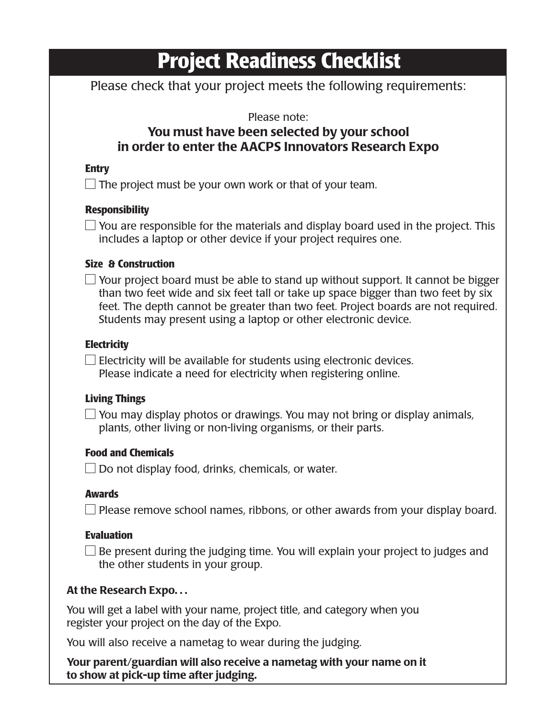# **Project Readiness Checklist**

Please check that your project meets the following requirements:

#### Please note:

#### You must have been selected by your school in order to enter the AACPS Innovators Research Expo

#### **Entry**

 $\Box$  The project must be your own work or that of your team.

#### **Responsibility**

 $\Box$  You are responsible for the materials and display board used in the project. This includes a laptop or other device if your project requires one.

#### **Size & Construction**

 $\Box$  Your project board must be able to stand up without support. It cannot be bigger than two feet wide and six feet tall or take up space bigger than two feet by six feet. The depth cannot be greater than two feet. Project boards are not required. Students may present using a laptop or other electronic device.

#### **Electricity**

 $\Box$  Electricity will be available for students using electronic devices. Please indicate a need for electricity when registering online.

#### **Living Things**

 $\Box$  You may display photos or drawings. You may not bring or display animals, plants, other living or non-living organisms, or their parts.

#### **Food and Chemicals**

 $\Box$  Do not display food, drinks, chemicals, or water.

#### **Awards**

 $\Box$  Please remove school names, ribbons, or other awards from your display board.

#### **Evaluation**

 $\Box$  Be present during the judging time. You will explain your project to judges and the other students in your group.

#### At the Research Expo. . .

You will get a label with your name, project title, and category when you register your project on the day of the Expo.

You will also receive a nametag to wear during the judging.

Your parent/guardian will also receive a nametag with your name on it to show at pick-up time after judging.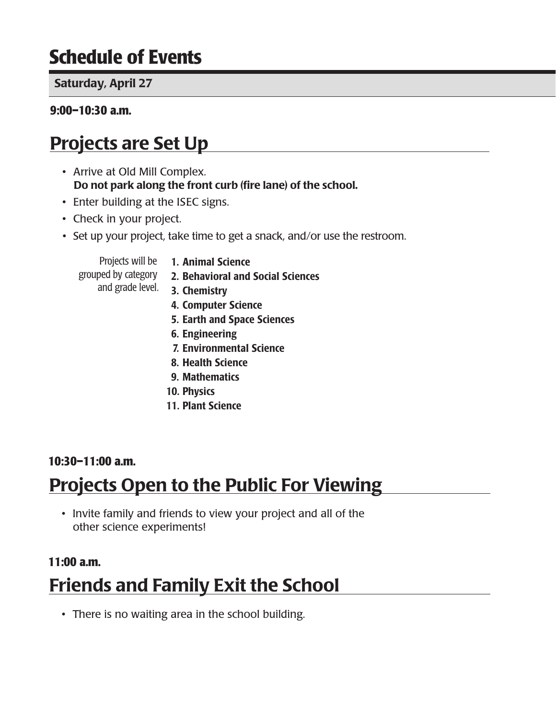# **Schedule of Events**

#### **Saturday, April 25**

#### **9:00–10:30 a.m.**

# Projects are Set Up

- Arrive at Old Mill Complex. Do not park along the front curb (fire lane) of the school.
- Enter building at the ISEC signs.
- Check in your project.
- Set up your project, take time to get a snack, and/or use the restroom.

Projects will be grouped by category

- 1. Animal Science
- 2. Behavioral and Social Sciences
- and grade level. **3. Chemistry** 
	- 4. Computer Science
	- 5. Earth and Space Sciences
	- 6. Engineering
	- 7. Environmental Science
	- 8. Health Science
	- 9. Mathematics
	- 10. Physics
	- 11. Plant Science

#### **10:30–11:00 a.m.**

## Projects Open to the Public For Viewing

• Invite family and friends to view your project and all of the other science experiments!

# **11:00 a.m.** Friends and Family Exit the School

• There is no waiting area in the school building.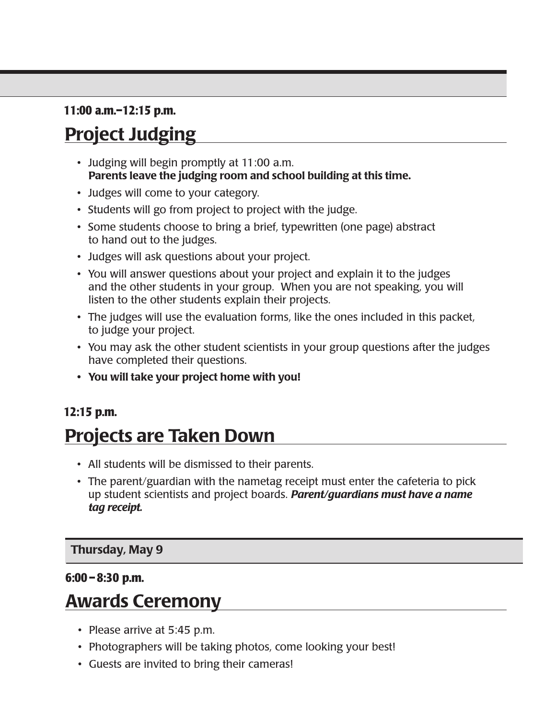#### **11:00 a.m.–12:15 p.m.**

# Project Judging

- Judging will begin promptly at 11:00 a.m. Parents leave the judging room and school building at this time.
- Judges will come to your category.
- Students will go from project to project with the judge.
- Some students choose to bring a brief, typewritten (one page) abstract to hand out to the judges.
- Judges will ask questions about your project.
- You will answer questions about your project and explain it to the judges and the other students in your group. When you are not speaking, you will listen to the other students explain their projects.
- The judges will use the evaluation forms, like the ones included in this packet, to judge your project.
- You may ask the other student scientists in your group questions after the judges have completed their questions.
- You will take your project home with you!

#### **12:15 p.m.**

# Projects are Taken Down

- All students will be dismissed to their parents.
- The parent/guardian with the nametag receipt must enter the cafeteria to pick up student scientists and project boards. *Parent/guardians must have a name tag receipt.*

**Wednesday, May 6**

#### **6:00– 8:00 p.m.**

## Awards Ceremony

- Please arrive at 5:45 p.m.
- Photographers will be taking photos, come looking your best!
	- Guests are invited to bring their cameras!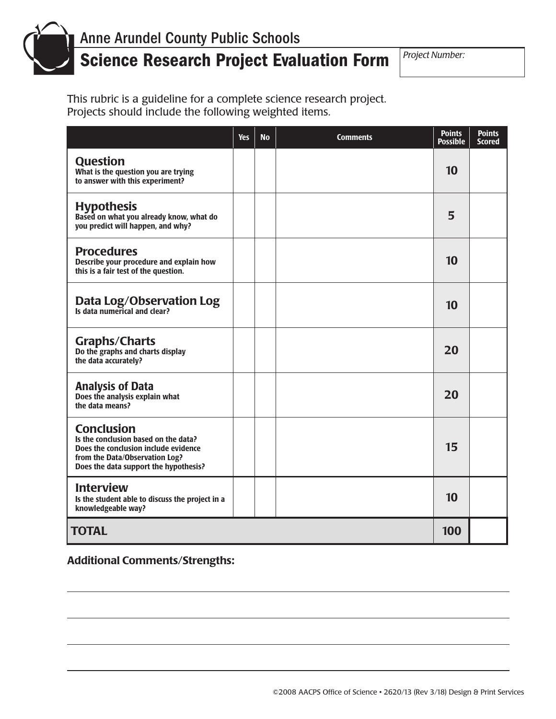

# Science Research Project Evaluation Form *Project Number:*

This rubric is a guideline for a complete science research project. Projects should include the following weighted items.

|                                                                                                                                                                              | <b>Yes</b> | <b>No</b> | <b>Comments</b> | <b>Points</b><br><b>Possible</b> | <b>Points</b><br><b>Scored</b> |
|------------------------------------------------------------------------------------------------------------------------------------------------------------------------------|------------|-----------|-----------------|----------------------------------|--------------------------------|
| <b>Question</b><br>What is the question you are trying<br>to answer with this experiment?                                                                                    |            |           |                 | 10                               |                                |
| <b>Hypothesis</b><br>Based on what you already know, what do<br>you predict will happen, and why?                                                                            |            |           |                 | 5                                |                                |
| <b>Procedures</b><br>Describe your procedure and explain how<br>this is a fair test of the question.                                                                         |            |           |                 | 10                               |                                |
| <b>Data Log/Observation Log</b><br>Is data numerical and clear?                                                                                                              |            |           |                 | 10                               |                                |
| <b>Graphs/Charts</b><br>Do the graphs and charts display<br>the data accurately?                                                                                             |            |           |                 | 20                               |                                |
| <b>Analysis of Data</b><br>Does the analysis explain what<br>the data means?                                                                                                 |            |           |                 | 20                               |                                |
| <b>Conclusion</b><br>Is the conclusion based on the data?<br>Does the conclusion include evidence<br>from the Data/Observation Log?<br>Does the data support the hypothesis? |            |           |                 | 15                               |                                |
| <b>Interview</b><br>Is the student able to discuss the project in a<br>knowledgeable way?                                                                                    |            |           |                 | 10                               |                                |
| <b>TOTAL</b>                                                                                                                                                                 |            |           |                 | 100                              |                                |

Additional Comments/Strengths: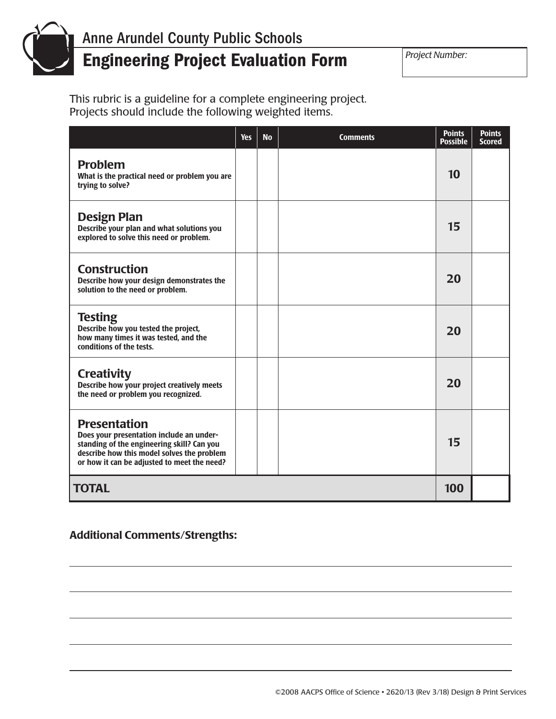

# Engineering Project Evaluation Form *Project Number:*

This rubric is a guideline for a complete engineering project. Projects should include the following weighted items.

|                                                                                                                                                                                                            | <b>Yes</b> | <b>No</b> | <b>Comments</b> | <b>Points</b><br><b>Possible</b> | <b>Points</b><br><b>Scored</b> |
|------------------------------------------------------------------------------------------------------------------------------------------------------------------------------------------------------------|------------|-----------|-----------------|----------------------------------|--------------------------------|
| <b>Problem</b><br>What is the practical need or problem you are<br>trying to solve?                                                                                                                        |            |           |                 | 10                               |                                |
| <b>Design Plan</b><br>Describe your plan and what solutions you<br>explored to solve this need or problem.                                                                                                 |            |           |                 | 15                               |                                |
| <b>Construction</b><br>Describe how your design demonstrates the<br>solution to the need or problem.                                                                                                       |            |           |                 | 20                               |                                |
| <b>Testing</b><br>Describe how you tested the project,<br>how many times it was tested, and the<br>conditions of the tests.                                                                                |            |           |                 | 20                               |                                |
| <b>Creativity</b><br>Describe how your project creatively meets<br>the need or problem you recognized.                                                                                                     |            |           |                 | 20                               |                                |
| <b>Presentation</b><br>Does your presentation include an under-<br>standing of the engineering skill? Can you<br>describe how this model solves the problem<br>or how it can be adjusted to meet the need? |            |           |                 | 15                               |                                |
| <b>TOTAL</b>                                                                                                                                                                                               |            |           |                 | 100                              |                                |

#### Additional Comments/Strengths: